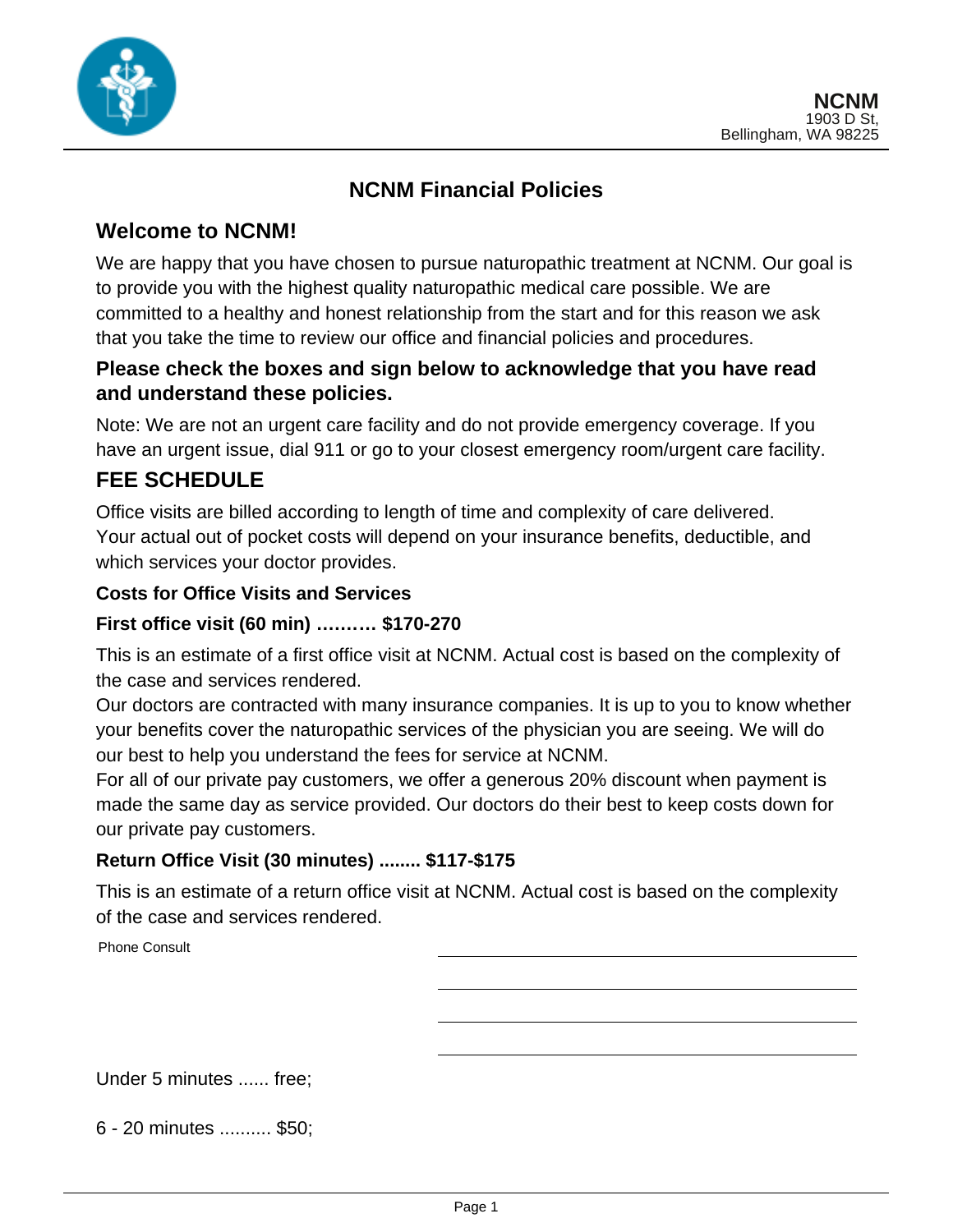

# **NCNM Financial Policies**

## **Welcome to NCNM!**

We are happy that you have chosen to pursue naturopathic treatment at NCNM. Our goal is to provide you with the highest quality naturopathic medical care possible. We are committed to a healthy and honest relationship from the start and for this reason we ask that you take the time to review our office and financial policies and procedures.

## **Please check the boxes and sign below to acknowledge that you have read and understand these policies.**

Note: We are not an urgent care facility and do not provide emergency coverage. If you have an urgent issue, dial 911 or go to your closest emergency room/urgent care facility.

## **FEE SCHEDULE**

Office visits are billed according to length of time and complexity of care delivered. Your actual out of pocket costs will depend on your insurance benefits, deductible, and which services your doctor provides.

### **Costs for Office Visits and Services**

#### **First office visit (60 min) ….…… \$170-270**

This is an estimate of a first office visit at NCNM. Actual cost is based on the complexity of the case and services rendered.

Our doctors are contracted with many insurance companies. It is up to you to know whether your benefits cover the naturopathic services of the physician you are seeing. We will do our best to help you understand the fees for service at NCNM.

For all of our private pay customers, we offer a generous 20% discount when payment is made the same day as service provided. Our doctors do their best to keep costs down for our private pay customers.

### **Return Office Visit (30 minutes) ........ \$117-\$175**

This is an estimate of a return office visit at NCNM. Actual cost is based on the complexity of the case and services rendered.

Phone Consult

Under 5 minutes ...... free;

6 - 20 minutes .......... \$50;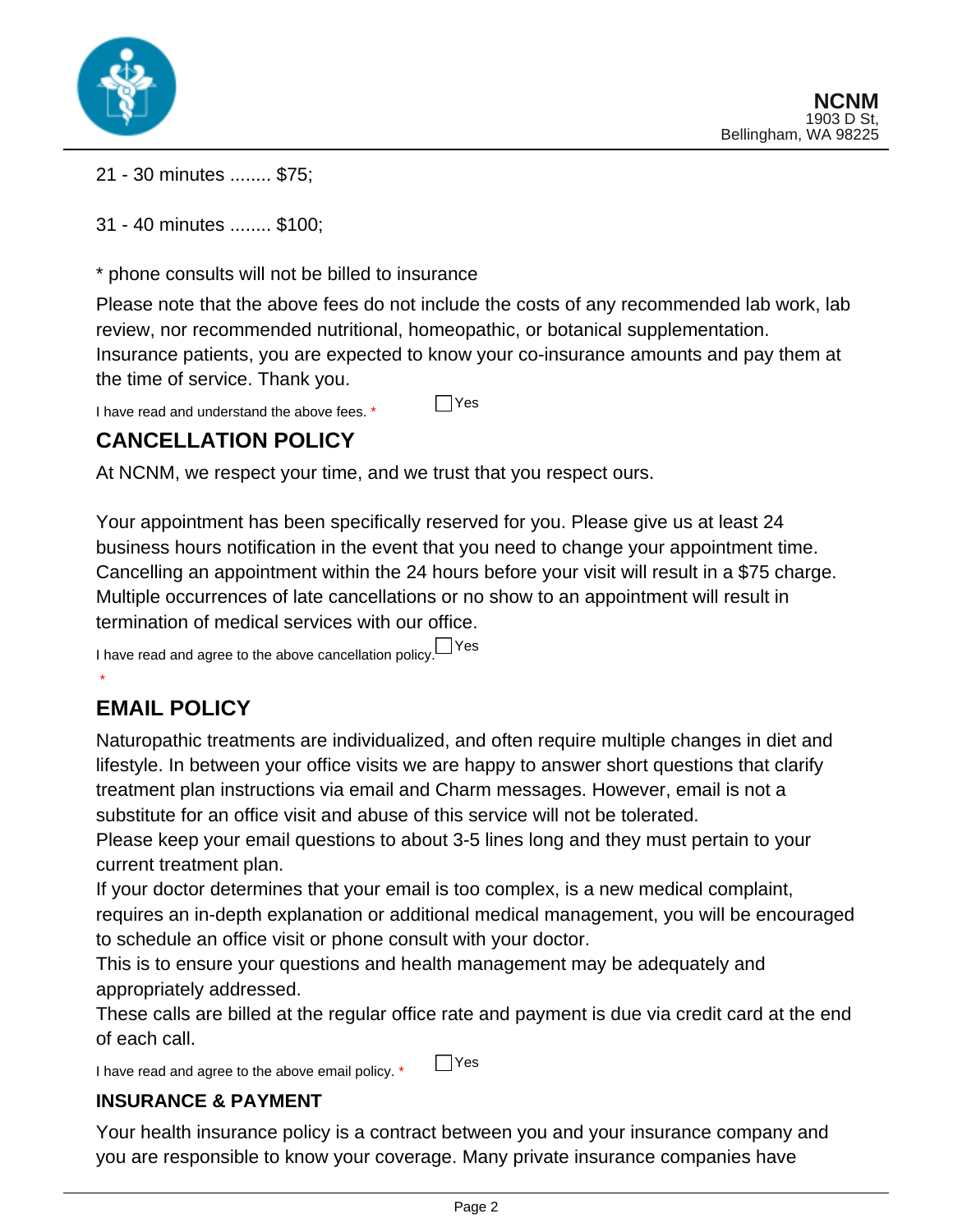

- 21 30 minutes ........ \$75;
- 31 40 minutes ........ \$100;

\* phone consults will not be billed to insurance

Please note that the above fees do not include the costs of any recommended lab work, lab review, nor recommended nutritional, homeopathic, or botanical supplementation. Insurance patients, you are expected to know your co-insurance amounts and pay them at the time of service. Thank you.

I have read and understand the above fees.  $*$   $\Box$  Yes

# **CANCELLATION POLICY**

At NCNM, we respect your time, and we trust that you respect ours.

Your appointment has been specifically reserved for you. Please give us at least 24 business hours notification in the event that you need to change your appointment time. Cancelling an appointment within the 24 hours before your visit will result in a \$75 charge. Multiple occurrences of late cancellations or no show to an appointment will result in termination of medical services with our office.

I have read and agree to the above cancellation policy. Yes

# **EMAIL POLICY**

\*

Naturopathic treatments are individualized, and often require multiple changes in diet and lifestyle. In between your office visits we are happy to answer short questions that clarify treatment plan instructions via email and Charm messages. However, email is not a substitute for an office visit and abuse of this service will not be tolerated.

Please keep your email questions to about 3-5 lines long and they must pertain to your current treatment plan.

If your doctor determines that your email is too complex, is a new medical complaint, requires an in-depth explanation or additional medical management, you will be encouraged to schedule an office visit or phone consult with your doctor.

This is to ensure your questions and health management may be adequately and appropriately addressed.

These calls are billed at the regular office rate and payment is due via credit card at the end of each call.

I have read and agree to the above email policy.  $*$   $\Box$  Yes

#### **INSURANCE & PAYMENT**

Your health insurance policy is a contract between you and your insurance company and you are responsible to know your coverage. Many private insurance companies have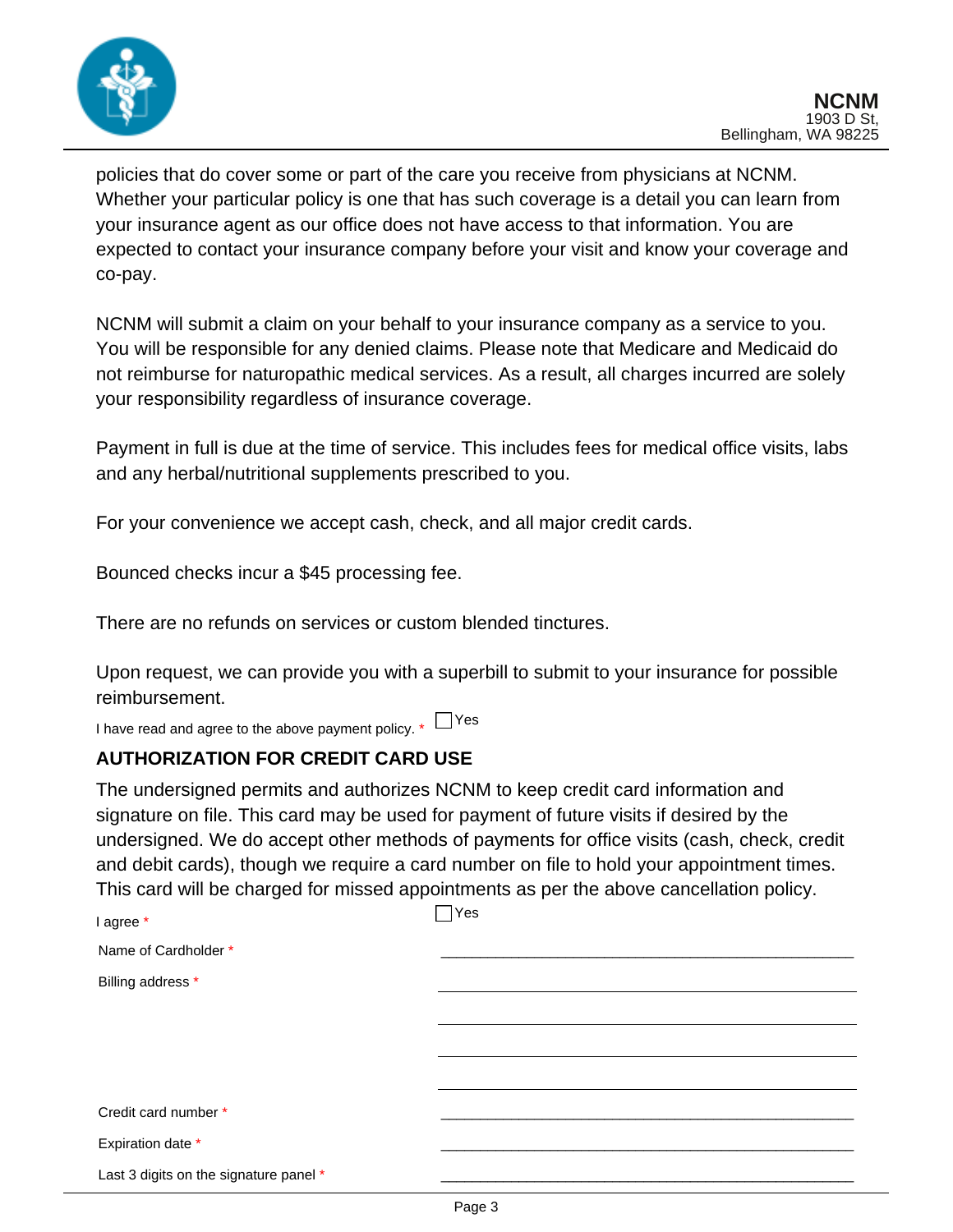

policies that do cover some or part of the care you receive from physicians at NCNM. Whether your particular policy is one that has such coverage is a detail you can learn from your insurance agent as our office does not have access to that information. You are expected to contact your insurance company before your visit and know your coverage and co-pay.

NCNM will submit a claim on your behalf to your insurance company as a service to you. You will be responsible for any denied claims. Please note that Medicare and Medicaid do not reimburse for naturopathic medical services. As a result, all charges incurred are solely your responsibility regardless of insurance coverage.

Payment in full is due at the time of service. This includes fees for medical office visits, labs and any herbal/nutritional supplements prescribed to you.

For your convenience we accept cash, check, and all major credit cards.

Bounced checks incur a \$45 processing fee.

There are no refunds on services or custom blended tinctures.

Upon request, we can provide you with a superbill to submit to your insurance for possible reimbursement.

I have read and agree to the above payment policy.  $*$   $\Box$  Yes

#### **AUTHORIZATION FOR CREDIT CARD USE**

The undersigned permits and authorizes NCNM to keep credit card information and signature on file. This card may be used for payment of future visits if desired by the undersigned. We do accept other methods of payments for office visits (cash, check, credit and debit cards), though we require a card number on file to hold your appointment times. This card will be charged for missed appointments as per the above cancellation policy.

| I agree *                              | Yes |
|----------------------------------------|-----|
| Name of Cardholder *                   |     |
| Billing address *                      |     |
|                                        |     |
|                                        |     |
|                                        |     |
| Credit card number *                   |     |
| Expiration date *                      |     |
| Last 3 digits on the signature panel * |     |